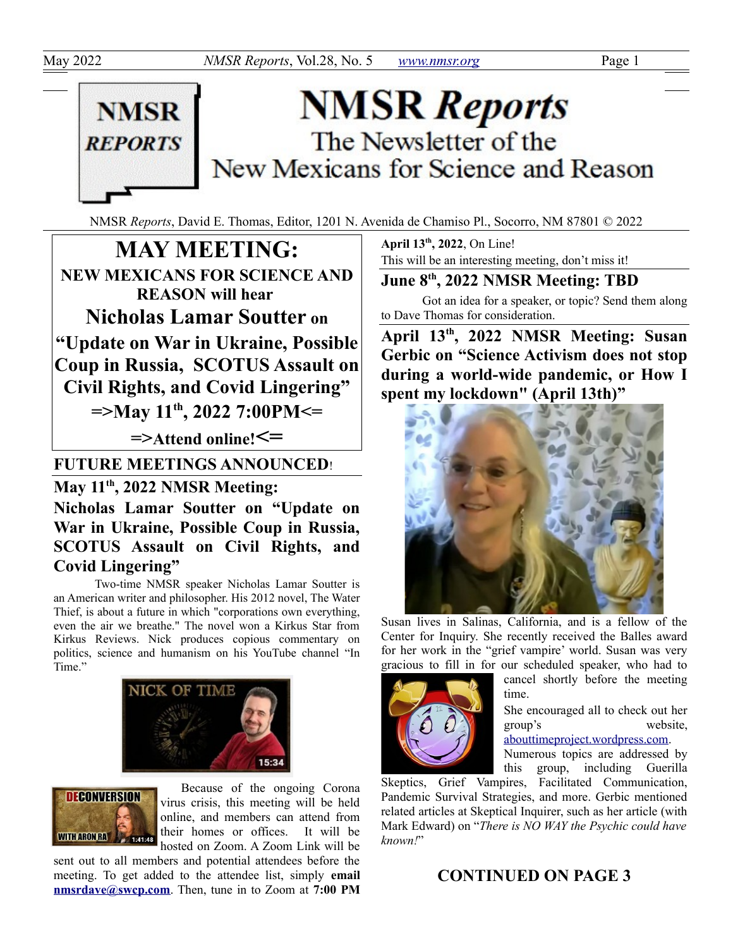

# **NMSR Reports** The Newsletter of the New Mexicans for Science and Reason

NMSR *Reports*, David E. Thomas, Editor, 1201 N. Avenida de Chamiso Pl., Socorro, NM 87801 © 2022

**MAY MEETING: NEW MEXICANS FOR SCIENCE AND REASON will hear Nicholas Lamar Soutter on "Update on War in Ukraine, Possible Coup in Russia, SCOTUS Assault on Civil Rights, and Covid Lingering" =>May 11th, 2022 7:00PM<= =>Attend online!<= FUTURE MEETINGS ANNOUNCED**!

### **May 11th, 2022 NMSR Meeting:**

**Nicholas Lamar Soutter on "Update on War in Ukraine, Possible Coup in Russia, SCOTUS Assault on Civil Rights, and Covid Lingering"**

Two-time NMSR speaker Nicholas Lamar Soutter is an American writer and philosopher. His 2012 novel, The Water Thief, is about a future in which "corporations own everything, even the air we breathe." The novel won a Kirkus Star from Kirkus Reviews. Nick produces copious commentary on politics, science and humanism on his YouTube channel "In Time."





Because of the ongoing Corona virus crisis, this meeting will be held online, and members can attend from their homes or offices. It will be hosted on Zoom. A Zoom Link will be

sent out to all members and potential attendees before the meeting. To get added to the attendee list, simply **email [nmsrdave@swcp.com](mailto:nmsrdave@swcp.com)**. Then, tune in to Zoom at **7:00 PM** **April 13th, 2022**, On Line! This will be an interesting meeting, don't miss it!

**June 8th, 2022 NMSR Meeting: TBD**

Got an idea for a speaker, or topic? Send them along to Dave Thomas for consideration.

**April 13th, 2022 NMSR Meeting: Susan Gerbic on "Science Activism does not stop during a world-wide pandemic, or How I spent my lockdown" (April 13th)"**



Susan lives in Salinas, California, and is a fellow of the Center for Inquiry. She recently received the Balles award for her work in the "grief vampire' world. Susan was very gracious to fill in for our scheduled speaker, who had to



cancel shortly before the meeting time.

She encouraged all to check out her group's website, [abouttimeproject.wordpress.com.](https://abouttimeproject.wordpress.com/)

Numerous topics are addressed by this group, including Guerilla

Skeptics, Grief Vampires, Facilitated Communication, Pandemic Survival Strategies, and more. Gerbic mentioned related articles at Skeptical Inquirer, such as her article (with Mark Edward) on "*There is NO WAY the Psychic could have known!*"

## **CONTINUED ON PAGE 3**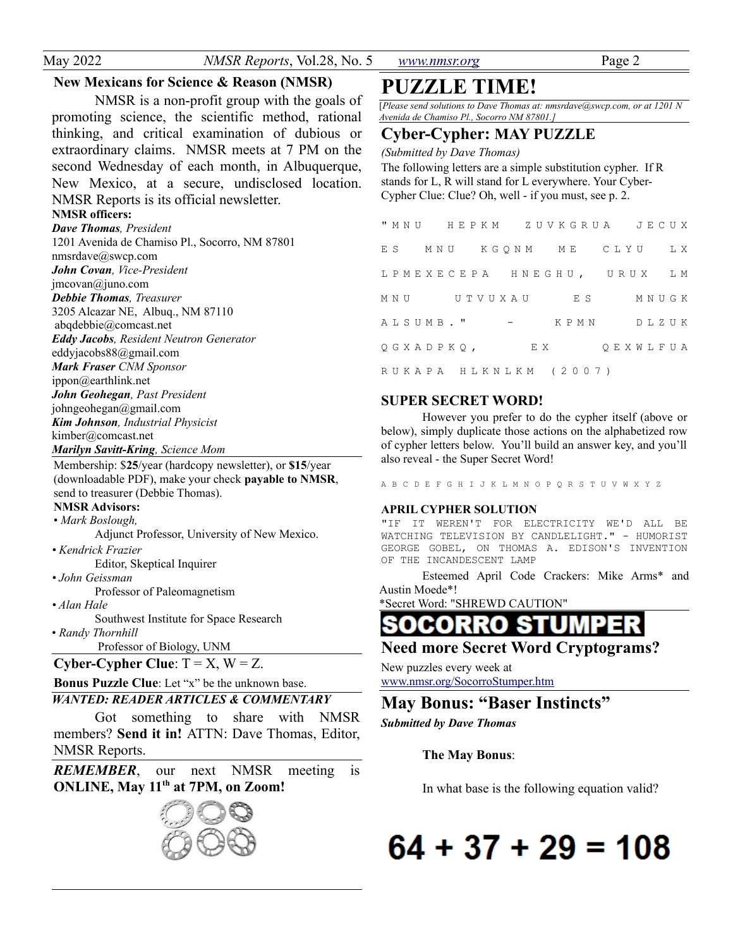May 2022 *NMSR Reports*, Vol.28, No. 5 *[www.nmsr.org](http://www.nmsr.org/)* Page 2

#### **New Mexicans for Science & Reason (NMSR)**

NMSR is a non-profit group with the goals of promoting science, the scientific method, rational thinking, and critical examination of dubious or extraordinary claims. NMSR meets at 7 PM on the second Wednesday of each month, in Albuquerque, New Mexico, at a secure, undisclosed location. NMSR Reports is its official newsletter.

#### **NMSR officers:**

*Dave Thomas, President* 1201 Avenida de Chamiso Pl., Socorro, NM 87801 nmsrdave@swcp.com *John Covan, Vice-President* jmcovan@juno.com *Debbie Thomas, Treasurer* 3205 Alcazar NE, Albuq., NM 87110 abqdebbie@comcast.net *Eddy Jacobs, Resident Neutron Generator* eddyjacobs88@gmail.com *Mark Fraser CNM Sponsor* ippon@earthlink.net *John Geohegan, Past President* johngeohegan@gmail.com *Kim Johnson, Industrial Physicist* kimber@comcast.net *Marilyn Savitt-Kring, Science Mom*

Membership: \$**25**/year (hardcopy newsletter), or **\$15**/year (downloadable PDF), make your check **payable to NMSR**, send to treasurer (Debbie Thomas).

#### **NMSR Advisors:**

• *Mark Boslough,* 

Adjunct Professor, University of New Mexico.

*• Kendrick Frazier* Editor, Skeptical Inquirer

*• John Geissman*

Professor of Paleomagnetism

*• Alan Hale*

Southwest Institute for Space Research • *Randy Thornhill*

Professor of Biology, UNM

**Cyber-Cypher Clue**:  $T = X$ ,  $W = Z$ .

#### **Bonus Puzzle Clue**: Let "x" be the unknown base.

#### *WANTED: READER ARTICLES & COMMENTARY*

Got something to share with NMSR members? **Send it in!** ATTN: Dave Thomas, Editor, NMSR Reports.

*REMEMBER*, our next NMSR meeting is **ONLINE, May 11th at 7PM, on Zoom!**



# **PUZZLE TIME!**

[*Please send solutions to Dave Thomas at: nmsrdave@swcp.com, or at 1201 N Avenida de Chamiso Pl., Socorro NM 87801.]*

#### **Cyber-Cypher: MAY PUZZLE**

*(Submitted by Dave Thomas)*

The following letters are a simple substitution cypher. If R stands for L, R will stand for L everywhere. Your Cyber-Cypher Clue: Clue? Oh, well - if you must, see p. 2.

|           |  |  |                   |  |  |  |     |  | ES MNU KGQNM ME CLYU LX    |  |  |  |  |           |
|-----------|--|--|-------------------|--|--|--|-----|--|----------------------------|--|--|--|--|-----------|
|           |  |  |                   |  |  |  |     |  | LPMEXECEPA HNEGHU, URUX LM |  |  |  |  |           |
|           |  |  | MNU UTVUXAU       |  |  |  |     |  | E S                        |  |  |  |  | M N U G K |
| ALSUMB. " |  |  |                   |  |  |  |     |  | KPMN DLZUK                 |  |  |  |  |           |
|           |  |  | Q G X A D P K Q , |  |  |  | E X |  |                            |  |  |  |  | QEXWLFUA  |
|           |  |  |                   |  |  |  |     |  | RUKAPA HLKNLKM (2007)      |  |  |  |  |           |

#### **SUPER SECRET WORD!**

However you prefer to do the cypher itself (above or below), simply duplicate those actions on the alphabetized row of cypher letters below. You'll build an answer key, and you'll also reveal - the Super Secret Word!

A B C D E F G H I J K L M N O P Q R S T U V W X Y Z

#### **APRIL CYPHER SOLUTION**

"IF IT WEREN'T FOR ELECTRICITY WE'D ALL BE WATCHING TELEVISION BY CANDLELIGHT." - HUMORIST GEORGE GOBEL, ON THOMAS A. EDISON'S INVENTION OF THE INCANDESCENT LAMP

Esteemed April Code Crackers: Mike Arms\* and Austin Moede\*!

\*Secret Word: "SHREWD CAUTION"

**SOCORRO** S.

#### **Need more Secret Word Cryptograms?**

New puzzles every week at www.nmsr.org/SocorroStumper.htm

**May Bonus: "Baser Instincts"**

*Submitted by Dave Thomas*

#### **The May Bonus**:

In what base is the following equation valid?

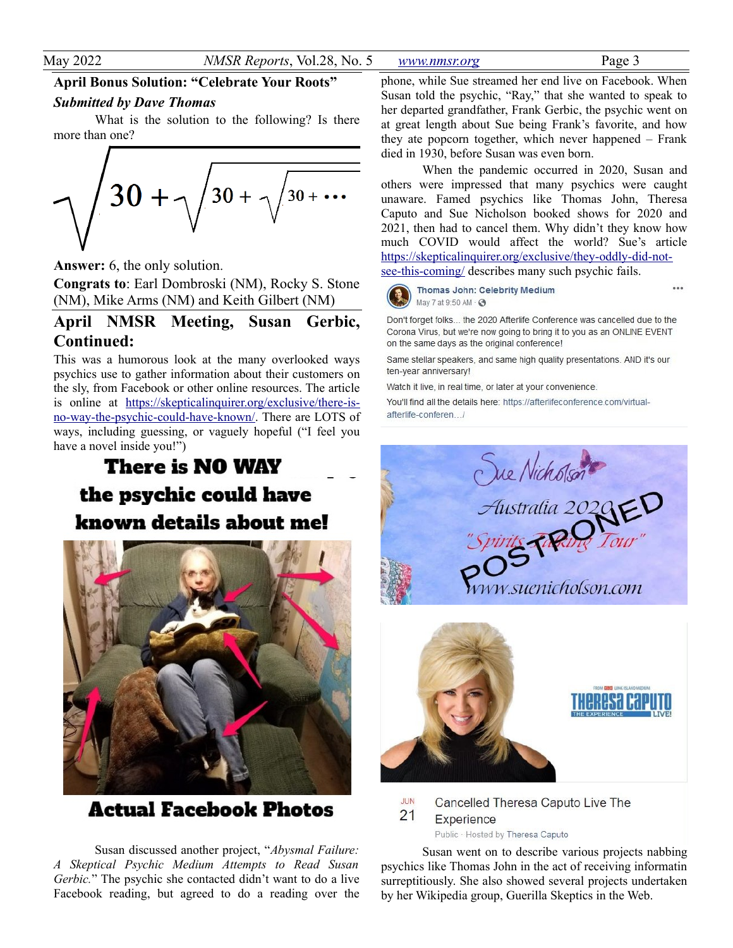**April Bonus Solution: "Celebrate Your Roots"**

#### *Submitted by Dave Thomas*

What is the solution to the following? Is there more than one?



**Answer:** 6, the only solution.

**Congrats to**: Earl Dombroski (NM), Rocky S. Stone (NM), Mike Arms (NM) and Keith Gilbert (NM)

#### **April NMSR Meeting, Susan Gerbic, Continued:**

This was a humorous look at the many overlooked ways psychics use to gather information about their customers on the sly, from Facebook or other online resources. The article is online at [https://skepticalinquirer.org/exclusive/there-is](https://skepticalinquirer.org/exclusive/there-is-no-way-the-psychic-could-have-known/)[no-way-the-psychic-could-have-known/.](https://skepticalinquirer.org/exclusive/there-is-no-way-the-psychic-could-have-known/) There are LOTS of ways, including guessing, or vaguely hopeful ("I feel you have a novel inside you!")

# **There is NO WAY** the psychic could have known details about me!



**Actual Facebook Photos** 

Susan discussed another project, "*Abysmal Failure: A Skeptical Psychic Medium Attempts to Read Susan Gerbic.*" The psychic she contacted didn't want to do a live Facebook reading, but agreed to do a reading over the phone, while Sue streamed her end live on Facebook. When Susan told the psychic, "Ray," that she wanted to speak to her departed grandfather, Frank Gerbic, the psychic went on at great length about Sue being Frank's favorite, and how they ate popcorn together, which never happened – Frank died in 1930, before Susan was even born.

When the pandemic occurred in 2020, Susan and others were impressed that many psychics were caught unaware. Famed psychics like Thomas John, Theresa Caputo and Sue Nicholson booked shows for 2020 and 2021, then had to cancel them. Why didn't they know how much COVID would affect the world? Sue's article [https://skepticalinquirer.org/exclusive/they-oddly-did-not](https://skepticalinquirer.org/exclusive/they-oddly-did-not-see-this-coming/)[see-this-coming/](https://skepticalinquirer.org/exclusive/they-oddly-did-not-see-this-coming/) describes many such psychic fails.

Thomas John: Celebrity Medium May 7 at 9:50 AM · 3

Don't forget folks... the 2020 Afterlife Conference was cancelled due to the Corona Virus, but we're now going to bring it to you as an ONLINE EVENT on the same days as the original conference!

Same stellar speakers, and same high quality presentations. AND it's our ten-year anniversary!

Watch it live, in real time, or later at your convenience.

You'll find all the details here: https://afterlifeconference.com/virtualafterlife-conferen /





JUN Cancelled Theresa Caputo Live The  $21$ Experience Public · Hosted by Theresa Caputo

Susan went on to describe various projects nabbing psychics like Thomas John in the act of receiving informatin surreptitiously. She also showed several projects undertaken by her Wikipedia group, Guerilla Skeptics in the Web.